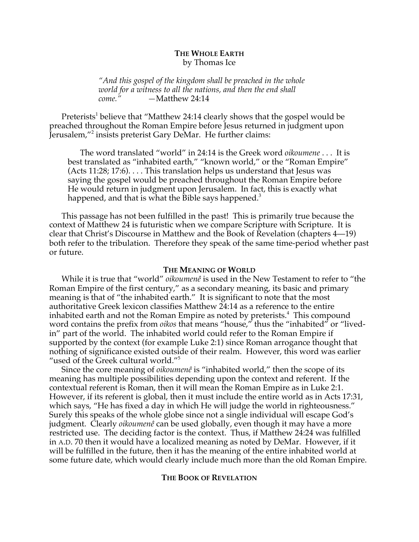# **THE WHOLE EARTH** by Thomas Ice

*"And this gospel of the kingdom shall be preached in the whole world for a witness to all the nations, and then the end shall come." —*Matthew 24:14

Preterists<sup>1</sup> believe that "Matthew 24:14 clearly shows that the gospel would be preached throughout the Roman Empire before Jesus returned in judgment upon Jerusalem,"<sup>2</sup> insists preterist Gary DeMar. He further claims:

The word translated "world" in 24:14 is the Greek word *oikoumene* . . . It is best translated as "inhabited earth," "known world," or the "Roman Empire" (Acts 11:28; 17:6). . . . This translation helps us understand that Jesus was saying the gospel would be preached throughout the Roman Empire before He would return in judgment upon Jerusalem. In fact, this is exactly what happened, and that is what the Bible says happened.<sup>3</sup>

This passage has not been fulfilled in the past! This is primarily true because the context of Matthew 24 is futuristic when we compare Scripture with Scripture. It is clear that Christ's Discourse in Matthew and the Book of Revelation (chapters 4—19) both refer to the tribulation. Therefore they speak of the same time-period whether past or future.

#### **THE MEANING OF WORLD**

While it is true that "world" *oikoumenê* is used in the New Testament to refer to "the Roman Empire of the first century," as a secondary meaning, its basic and primary meaning is that of "the inhabited earth." It is significant to note that the most authoritative Greek lexicon classifies Matthew 24:14 as a reference to the entire inhabited earth and not the Roman Empire as noted by preterists.<sup>4</sup> This compound word contains the prefix from *oikos* that means "house," thus the "inhabited" or "livedin" part of the world. The inhabited world could refer to the Roman Empire if supported by the context (for example Luke 2:1) since Roman arrogance thought that nothing of significance existed outside of their realm. However, this word was earlier "used of the Greek cultural world."5

Since the core meaning of *oikoumenê* is "inhabited world," then the scope of its meaning has multiple possibilities depending upon the context and referent. If the contextual referent is Roman, then it will mean the Roman Empire as in Luke 2:1. However, if its referent is global, then it must include the entire world as in Acts 17:31, which says, "He has fixed a day in which He will judge the world in righteousness." Surely this speaks of the whole globe since not a single individual will escape God's judgment. Clearly *oikoumenê* can be used globally, even though it may have a more restricted use. The deciding factor is the context. Thus, if Matthew 24:24 was fulfilled in A.D. 70 then it would have a localized meaning as noted by DeMar. However, if it will be fulfilled in the future, then it has the meaning of the entire inhabited world at some future date, which would clearly include much more than the old Roman Empire.

## **THE BOOK OF REVELATION**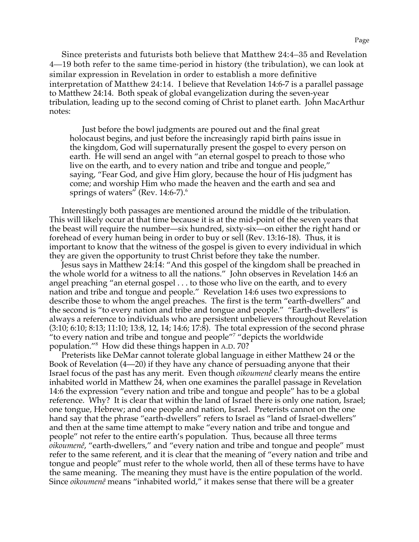Since preterists and futurists both believe that Matthew 24:4–35 and Revelation 4—19 both refer to the same time-period in history (the tribulation), we can look at similar expression in Revelation in order to establish a more definitive interpretation of Matthew 24:14. I believe that Revelation 14:6-7 is a parallel passage to Matthew 24:14. Both speak of global evangelization during the seven-year tribulation, leading up to the second coming of Christ to planet earth. John MacArthur notes:

Just before the bowl judgments are poured out and the final great holocaust begins, and just before the increasingly rapid birth pains issue in the kingdom, God will supernaturally present the gospel to every person on earth. He will send an angel with "an eternal gospel to preach to those who live on the earth, and to every nation and tribe and tongue and people," saying, "Fear God, and give Him glory, because the hour of His judgment has come; and worship Him who made the heaven and the earth and sea and springs of waters" (Rev. 14:6-7). $^6$ 

Interestingly both passages are mentioned around the middle of the tribulation. This will likely occur at that time because it is at the mid-point of the seven years that the beast will require the number—six hundred, sixty-six—on either the right hand or forehead of every human being in order to buy or sell (Rev. 13:16-18). Thus, it is important to know that the witness of the gospel is given to every individual in which they are given the opportunity to trust Christ before they take the number.

Jesus says in Matthew 24:14: "And this gospel of the kingdom shall be preached in the whole world for a witness to all the nations." John observes in Revelation 14:6 an angel preaching "an eternal gospel . . . to those who live on the earth, and to every nation and tribe and tongue and people." Revelation 14:6 uses two expressions to describe those to whom the angel preaches. The first is the term "earth-dwellers" and the second is "to every nation and tribe and tongue and people." "Earth-dwellers" is always a reference to individuals who are persistent unbelievers throughout Revelation (3:10; 6:10; 8:13; 11:10; 13:8, 12, 14; 14:6; 17:8). The total expression of the second phrase "to every nation and tribe and tongue and people"7 "depicts the worldwide population."<sup>8</sup> How did these things happen in A.D. 70?

Preterists like DeMar cannot tolerate global language in either Matthew 24 or the Book of Revelation (4—20) if they have any chance of persuading anyone that their Israel focus of the past has any merit. Even though *oikoumenê* clearly means the entire inhabited world in Matthew 24, when one examines the parallel passage in Revelation 14:6 the expression "every nation and tribe and tongue and people" has to be a global reference. Why? It is clear that within the land of Israel there is only one nation, Israel; one tongue, Hebrew; and one people and nation, Israel. Preterists cannot on the one hand say that the phrase "earth-dwellers" refers to Israel as "land of Israel-dwellers" and then at the same time attempt to make "every nation and tribe and tongue and people" not refer to the entire earth's population. Thus, because all three terms *oikoumenê*, "earth-dwellers," and "every nation and tribe and tongue and people" must refer to the same referent, and it is clear that the meaning of "every nation and tribe and tongue and people" must refer to the whole world, then all of these terms have to have the same meaning. The meaning they must have is the entire population of the world. Since *oikoumenê* means "inhabited world," it makes sense that there will be a greater